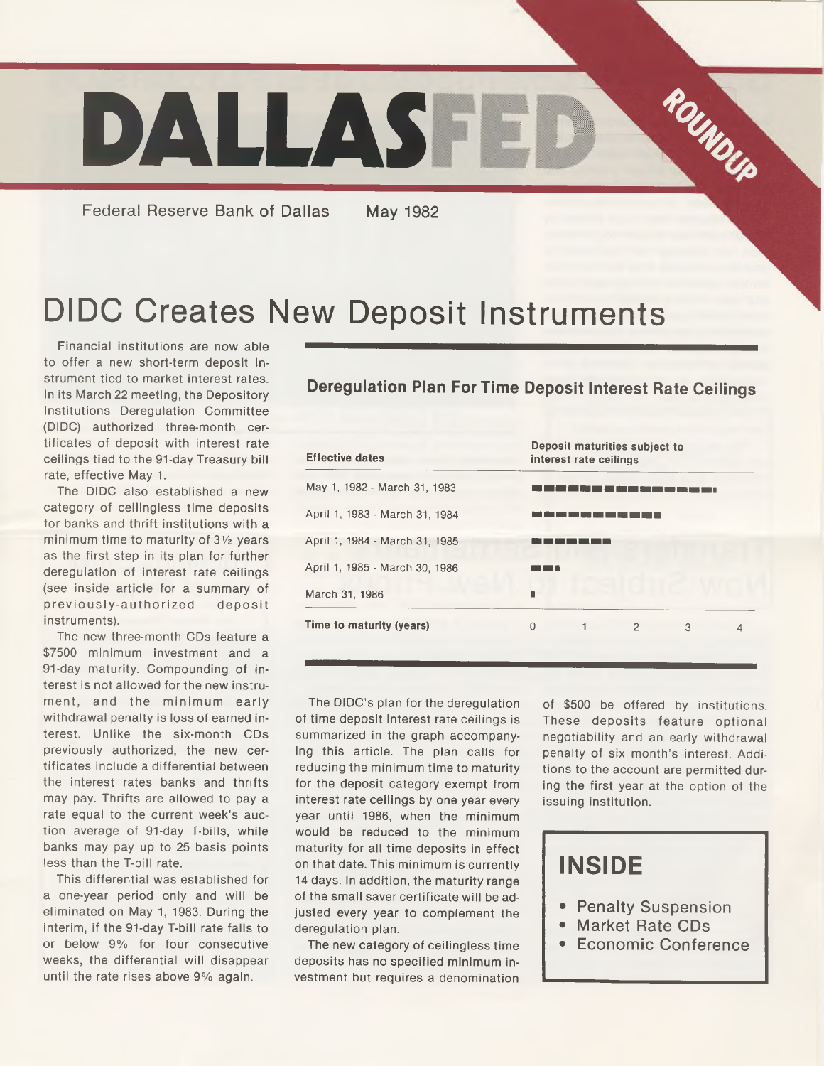

Federal Reserve Bank of Dallas May 1982

# DIDC Creates New Deposit Instruments

Financial institutions are now able to offer a new short-term deposit instrument tied to market interest rates. In its March 22 meeting, the Depository Institutions Deregulation Committee (DIDC) authorized three-month certificates of deposit with interest rate ceilings tied to the 91-day Treasury bill rate, effective May 1.

The DIDC also established a new category of ceilingless time deposits for banks and thrift institutions with a minimum time to maturity of  $3\frac{1}{2}$  years as the first step in its plan for further deregulation of interest rate ceilings (see inside article for a summary of previously-authorized deposit instruments).

The new three-month CDs feature a \$7500 minimum investment and a 91-day maturity. Compounding of interest is not allowed for the new instrument, and the minimum early withdrawal penalty is loss of earned interest. Unlike the six-month CDs previously authorized, the new certificates include a differential between the interest rates banks and thrifts may pay. Thrifts are allowed to pay a rate equal to the current week's auction average of 91-day T-bills, while banks may pay up to 25 basis points less than the T-bill rate.

This differential was established for a one-year period only and will be eliminated on May 1, 1983. During the interim, if the 91-day T-bill rate falls to or below 9% for four consecutive weeks, the differential will disappear until the rate rises above 9% again.

#### **Deregulation Plan For Time Deposit interest Rate Ceilings**

| <b>Effective dates</b>         | Deposit maturities subject to<br>interest rate ceilings |  |  |  |
|--------------------------------|---------------------------------------------------------|--|--|--|
| May 1, 1982 - March 31, 1983   |                                                         |  |  |  |
| April 1, 1983 - March 31, 1984 |                                                         |  |  |  |
| April 1, 1984 - March 31, 1985 |                                                         |  |  |  |
| April 1, 1985 - March 30, 1986 |                                                         |  |  |  |
| March 31, 1986                 |                                                         |  |  |  |
| Time to maturity (years)       | 0<br>1<br>$\overline{2}$<br>3<br>4                      |  |  |  |

The DIDC's plan for the deregulation of time deposit interest rate ceilings is summarized in the graph accompanying this article. The plan calls for reducing the minimum time to maturity for the deposit category exempt from interest rate ceilings by one year every year until 1986, when the minimum would be reduced to the minimum maturity for all time deposits in effect on that date. This minimum is currently 14 days. In addition, the maturity range of the small saver certificate will be adjusted every year to complement the deregulation plan.

The new category of ceilingless time deposits has no specified minimum investment but requires a denomination

of \$500 be offered by institutions. These deposits feature optional negotiability and an early withdrawal penalty of six month's interest. Additions to the account are permitted during the first year at the option of the issuing institution.

#### **INSIDE**

- Penalty Suspension
- Market Rate CDs
- Economic Conference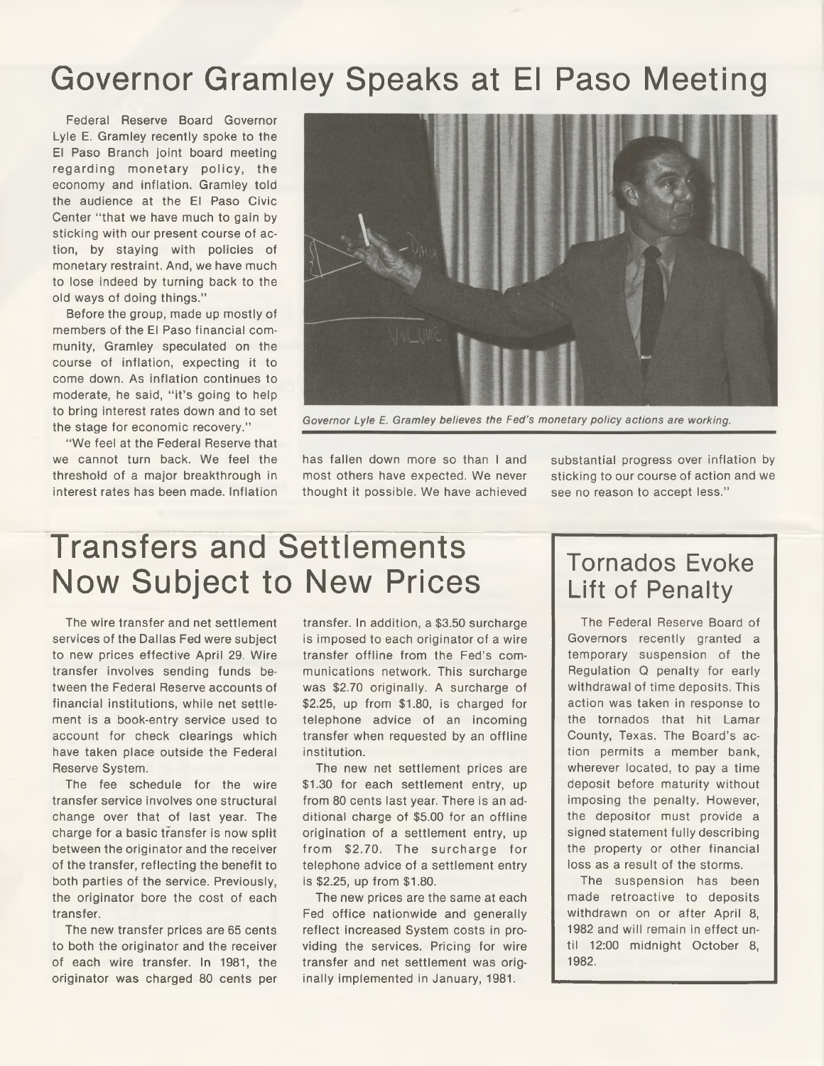#### Governor Gramley Speaks at El Paso Meeting

Federal Reserve Board Governor Lyle E. Gramley recently spoke to the El Paso Branch joint board meeting regarding monetary policy, the economy and inflation. Gramley told the audience at the El Paso Civic Center "that we have much to gain by sticking with our present course of action, by staying with policies of monetary restraint. And, we have much to lose indeed by turning back to the old ways of doing things."

Before the group, made up mostly of members of the El Paso financial community, Gramley speculated on the course of inflation, expecting it to come down. As inflation continues to moderate, he said, "it's going to help to bring interest rates down and to set the stage for economic recovery."

"We feel at the Federal Reserve that we cannot turn back. We feel the threshold of a major breakthrough in interest rates has been made. Inflation



Governor Lyle E. Gramley believes the Fed's monetary policy actions are working.

has fallen down more so than I and most others have expected. We never thought it possible. We have achieved

substantial progress over inflation by sticking to our course of action and we see no reason to accept less."

## Transfers and Settlements Now Subject to New Prices

The wire transfer and net settlement services of the Dallas Fed were subject to new prices effective April 29. Wire transfer involves sending funds between the Federal Reserve accounts of financial institutions, while net settlement is a book-entry service used to account for check clearings which have taken place outside the Federal Reserve System.

The fee schedule for the wire transfer service involves one structural change over that of last year. The charge for a basic transfer is now split between the originator and the receiver of the transfer, reflecting the benefit to both parties of the service. Previously, the originator bore the cost of each transfer.

The new transfer prices are 65 cents to both the originator and the receiver of each wire transfer. In 1981, the originator was charged 80 cents per

transfer. In addition, a \$3.50 surcharge is imposed to each originator of a wire transfer offline from the Fed's communications network. This surcharge was \$2.70 originally. A surcharge of \$2.25, up from \$1.80, is charged for telephone advice of an incoming transfer when requested by an offline institution.

The new net settlement prices are \$1.30 for each settlement entry, up from 80 cents last year. There is an additional charge of \$5.00 for an offline origination of a settlement entry, up from \$2.70. The surcharge for telephone advice of a settlement entry is \$2.25, up from \$1.80.

The new prices are the same at each Fed office nationwide and generally reflect increased System costs in providing the services. Pricing for wire transfer and net settlement was originally implemented in January, 1981.

#### Tornados Evoke Lift of Penalty

The Federal Reserve Board of Governors recently granted a temporary suspension of the Regulation Q penalty for early withdrawal of time deposits. This action was taken in response to the tornados that hit Lamar County, Texas. The Board's action permits a member bank, wherever located, to pay a time deposit before maturity without imposing the penalty. However, the depositor must provide a signed statement fully describing the property or other financial loss as a result of the storms.

The suspension has been made retroactive to deposits withdrawn on or after April 8, 1982 and will remain in effect until 12:00 midnight October 8, 1982.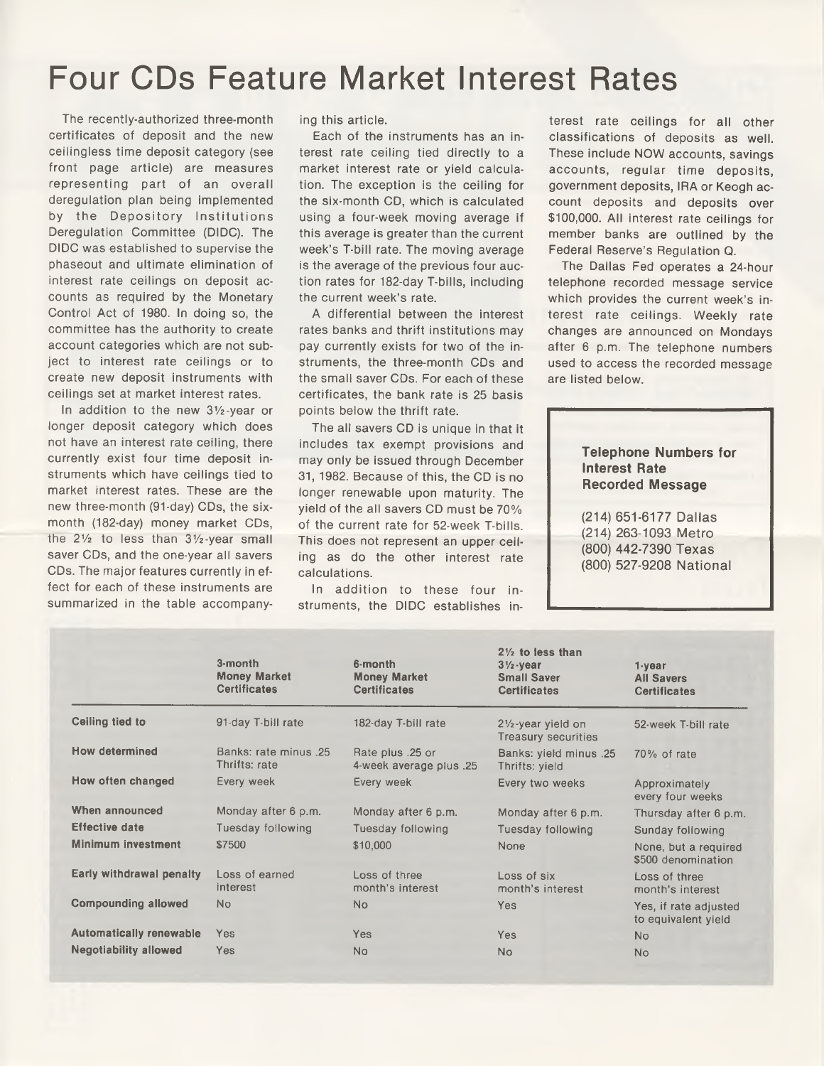### Four CDs Feature Market Interest Rates

The recently-authorized three-month certificates of deposit and the new ceilingless time deposit category (see front page article) are measures representing part of an overall deregulation plan being implemented by the Depository Institutions Deregulation Committee (DIDC). The DIDC was established to supervise the phaseout and ultimate elimination of interest rate ceilings on deposit accounts as required by the Monetary Control Act of 1980. In doing so, the committee has the authority to create account categories which are not subject to interest rate ceilings or to create new deposit instruments with ceilings set at market interest rates.

In addition to the new  $3\frac{1}{2}$ -year or longer deposit category which does not have an interest rate ceiling, there currently exist four time deposit instruments which have ceilings tied to market interest rates. These are the new three-month (91-day) CDs, the sixmonth (182-day) money market CDs, the  $2\frac{1}{2}$  to less than  $3\frac{1}{2}$ -year small saver CDs, and the one-year all savers CDs. The major features currently in effect for each of these instruments are summarized in the table accompanying this article.

Each of the instruments has an interest rate ceiling tied directly to a market interest rate or yield calculation. The exception is the ceiling for the six-month CD, which is calculated using a four-week moving average if this average is greater than the current week's T-bill rate. The moving average is the average of the previous four auction rates for 182-day T-bills, including the current week's rate.

A differential between the interest rates banks and thrift institutions may pay currently exists for two of the instruments, the three-month CDs and the small saver CDs. For each of these certificates, the bank rate is 25 basis points below the thrift rate.

The all savers CD is unique in that it includes tax exempt provisions and may only be issued through December 31, 1982. Because of this, the CD is no longer renewable upon maturity. The yield of the all savers CD must be 70% of the current rate for 52-week T-bills. This does not represent an upper ceiling as do the other interest rate calculations.

In addition to these four instruments, the DIDC establishes in-

terest rate ceilings for all other classifications of deposits as well. These include NOW accounts, savings accounts, regular time deposits, government deposits, IRA or Keogh account deposits and deposits over \$100,000. All interest rate ceilings for member banks are outlined by the Federal Reserve's Regulation Q.

The Dallas Fed operates a 24-hour telephone recorded message service which provides the current week's interest rate ceilings. Weekly rate changes are announced on Mondays after 6 p.m. The telephone numbers used to access the recorded message are listed below.

#### **Telephone Numbers for Interest Rate Recorded Message**

(214) 651-6177 Dallas (214) 263-1093 Metro (800) 442-7390 Texas (800) 527-9208 National

|                                | 3-month<br><b>Money Market</b><br><b>Certificates</b> | 6-month<br><b>Money Market</b><br><b>Certificates</b> | $2\frac{1}{2}$ to less than<br>$3\frac{1}{2}$ -year<br><b>Small Saver</b><br><b>Certificates</b> | $1 - year$<br><b>All Savers</b><br><b>Certificates</b> |
|--------------------------------|-------------------------------------------------------|-------------------------------------------------------|--------------------------------------------------------------------------------------------------|--------------------------------------------------------|
| Ceiling tied to                | 91-day T-bill rate                                    | 182-day T-bill rate                                   | $2\frac{1}{2}$ -year yield on<br><b>Treasury securities</b>                                      | 52-week T-bill rate                                    |
| <b>How determined</b>          | Banks: rate minus 25<br>Thrifts: rate                 | Rate plus .25 or<br>4-week average plus .25           | <b>Banks: yield minus .25</b><br>Thrifts: yield                                                  | 70% of rate                                            |
| How often changed              | Every week                                            | Every week                                            | Every two weeks                                                                                  | Approximately<br>every four weeks                      |
| When announced                 | Monday after 6 p.m.                                   | Monday after 6 p.m.                                   | Monday after 6 p.m.                                                                              | Thursday after 6 p.m.                                  |
| <b>Effective date</b>          | Tuesday following                                     | Tuesday following                                     | Tuesday following                                                                                | Sunday following                                       |
| <b>Minimum investment</b>      | \$7500                                                | \$10,000                                              | None                                                                                             | None, but a required<br>\$500 denomination             |
| Early withdrawal penalty       | Loss of earned<br>interest                            | Loss of three<br>month's interest                     | Loss of six<br>month's interest                                                                  | Loss of three<br>month's interest                      |
| <b>Compounding allowed</b>     | No                                                    | No.                                                   | Yes                                                                                              | Yes, if rate adjusted<br>to equivalent yield           |
| <b>Automatically renewable</b> | Yes                                                   | Yes                                                   | <b>Yes</b>                                                                                       | <b>No</b>                                              |
| <b>Negotiability allowed</b>   | Yes                                                   | <b>No</b>                                             | N <sub>o</sub>                                                                                   | <b>No</b>                                              |